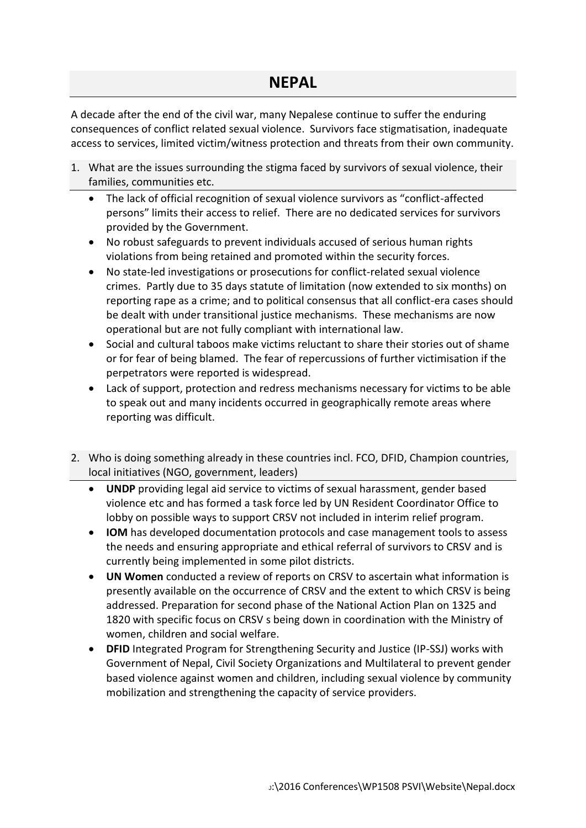## **NEPAL**

A decade after the end of the civil war, many Nepalese continue to suffer the enduring consequences of conflict related sexual violence. Survivors face stigmatisation, inadequate access to services, limited victim/witness protection and threats from their own community.

- 1. What are the issues surrounding the stigma faced by survivors of sexual violence, their families, communities etc.
	- The lack of official recognition of sexual violence survivors as "conflict-affected persons" limits their access to relief. There are no dedicated services for survivors provided by the Government.
	- No robust safeguards to prevent individuals accused of serious human rights violations from being retained and promoted within the security forces.
	- No state-led investigations or prosecutions for conflict-related sexual violence crimes. Partly due to 35 days statute of limitation (now extended to six months) on reporting rape as a crime; and to political consensus that all conflict-era cases should be dealt with under transitional justice mechanisms. These mechanisms are now operational but are not fully compliant with international law.
	- Social and cultural taboos make victims reluctant to share their stories out of shame or for fear of being blamed. The fear of repercussions of further victimisation if the perpetrators were reported is widespread.
	- Lack of support, protection and redress mechanisms necessary for victims to be able to speak out and many incidents occurred in geographically remote areas where reporting was difficult.
- 2. Who is doing something already in these countries incl. FCO, DFID, Champion countries, local initiatives (NGO, government, leaders)
	- **UNDP** providing legal aid service to victims of sexual harassment, gender based violence etc and has formed a task force led by UN Resident Coordinator Office to lobby on possible ways to support CRSV not included in interim relief program.
	- **IOM** has developed documentation protocols and case management tools to assess the needs and ensuring appropriate and ethical referral of survivors to CRSV and is currently being implemented in some pilot districts.
	- **UN Women** conducted a review of reports on CRSV to ascertain what information is presently available on the occurrence of CRSV and the extent to which CRSV is being addressed. Preparation for second phase of the National Action Plan on 1325 and 1820 with specific focus on CRSV s being down in coordination with the Ministry of women, children and social welfare.
	- **DFID** Integrated Program for Strengthening Security and Justice (IP-SSJ) works with Government of Nepal, Civil Society Organizations and Multilateral to prevent gender based violence against women and children, including sexual violence by community mobilization and strengthening the capacity of service providers.